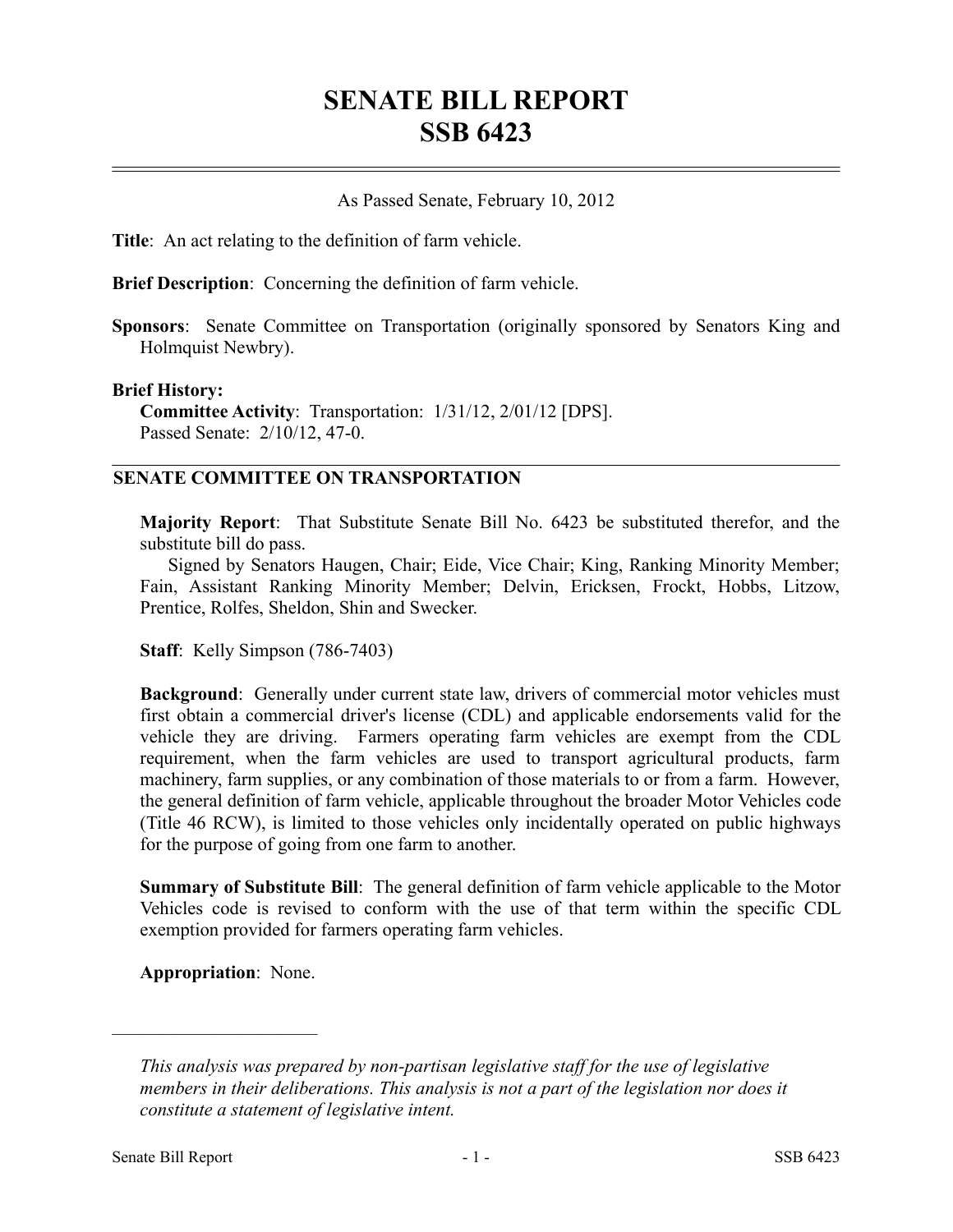# **SENATE BILL REPORT SSB 6423**

## As Passed Senate, February 10, 2012

**Title**: An act relating to the definition of farm vehicle.

**Brief Description**: Concerning the definition of farm vehicle.

**Sponsors**: Senate Committee on Transportation (originally sponsored by Senators King and Holmquist Newbry).

#### **Brief History:**

**Committee Activity**: Transportation: 1/31/12, 2/01/12 [DPS]. Passed Senate: 2/10/12, 47-0.

### **SENATE COMMITTEE ON TRANSPORTATION**

**Majority Report**: That Substitute Senate Bill No. 6423 be substituted therefor, and the substitute bill do pass.

Signed by Senators Haugen, Chair; Eide, Vice Chair; King, Ranking Minority Member; Fain, Assistant Ranking Minority Member; Delvin, Ericksen, Frockt, Hobbs, Litzow, Prentice, Rolfes, Sheldon, Shin and Swecker.

**Staff**: Kelly Simpson (786-7403)

**Background**: Generally under current state law, drivers of commercial motor vehicles must first obtain a commercial driver's license (CDL) and applicable endorsements valid for the vehicle they are driving. Farmers operating farm vehicles are exempt from the CDL requirement, when the farm vehicles are used to transport agricultural products, farm machinery, farm supplies, or any combination of those materials to or from a farm. However, the general definition of farm vehicle, applicable throughout the broader Motor Vehicles code (Title 46 RCW), is limited to those vehicles only incidentally operated on public highways for the purpose of going from one farm to another.

**Summary of Substitute Bill**: The general definition of farm vehicle applicable to the Motor Vehicles code is revised to conform with the use of that term within the specific CDL exemption provided for farmers operating farm vehicles.

**Appropriation**: None.

––––––––––––––––––––––

*This analysis was prepared by non-partisan legislative staff for the use of legislative members in their deliberations. This analysis is not a part of the legislation nor does it constitute a statement of legislative intent.*